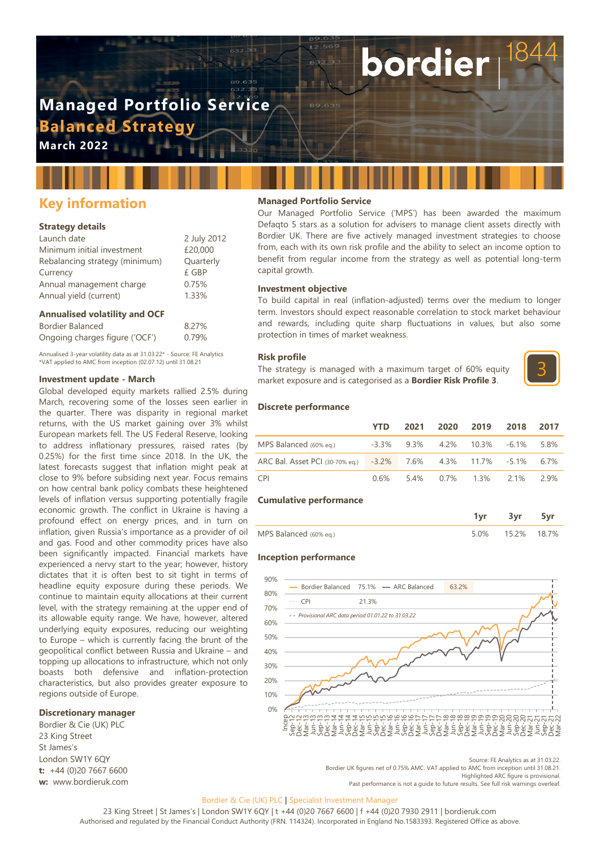# **Managed Portfolio Service Balanced Strategy**

**March 2022**

## **Key information**

#### **Strategy details**

| Launch date                    | 2 July 2012 |
|--------------------------------|-------------|
| Minimum initial investment     | £20,000     |
| Rebalancing strategy (minimum) | Quarterly   |
| Currency                       | £ GBP       |
| Annual management charge       | 0.75%       |
| Annual yield (current)         | 1.33%       |
|                                |             |

#### **Annualised volatility and OCF**

| Bordier Balanced               | 8.27% |
|--------------------------------|-------|
| Ongoing charges figure ('OCF') | 0.79% |

Annualised 3-year volatility data as at 31.03.22\* - Source: FE Analytics \*VAT applied to AMC from inception (02.07.12) until 31.08.21

#### **Investment update - March**

Global developed equity markets rallied 2.5% during March, recovering some of the losses seen earlier in the quarter. There was disparity in regional market returns, with the US market gaining over 3% whilst European markets fell. The US Federal Reserve, looking to address inflationary pressures, raised rates (by 0.25%) for the first time since 2018. In the UK, the latest forecasts suggest that inflation might peak at close to 9% before subsiding next year. Focus remains on how central bank policy combats these heightened levels of inflation versus supporting potentially fragile economic growth. The conflict in Ukraine is having a profound effect on energy prices, and in turn on inflation, given Russia's importance as a provider of oil and gas. Food and other commodity prices have also been significantly impacted. Financial markets have experienced a nervy start to the year; however, history dictates that it is often best to sit tight in terms of headline equity exposure during these periods. We continue to maintain equity allocations at their current level, with the strategy remaining at the upper end of its allowable equity range. We have, however, altered underlying equity exposures, reducing our weighting to Europe – which is currently facing the brunt of the geopolitical conflict between Russia and Ukraine – and topping up allocations to infrastructure, which not only boasts both defensive and inflation-protection characteristics, but also provides greater exposure to regions outside of Europe.

#### **Discretionary manager**

Bordier & Cie (UK) PLC 23 King Street St James's London SW1Y 6QY **t:** +44 (0)20 7667 6600 **w:** www.bordieruk.com

#### **Managed Portfolio Service**

Our Managed Portfolio Service ('MPS') has been awarded the maximum Defaqto 5 stars as a solution for advisers to manage client assets directly with Bordier UK. There are five actively managed investment strategies to choose from, each with its own risk profile and the ability to select an income option to benefit from regular income from the strategy as well as potential long-term capital growth.

bordier

#### **Investment objective**

To build capital in real (inflation-adjusted) terms over the medium to longer term. Investors should expect reasonable correlation to stock market behaviour and rewards, including quite sharp fluctuations in values, but also some protection in times of market weakness.

#### **Risk profile**

The strategy is managed with a maximum target of 60% equity market exposure and is categorised as a **Bordier Risk Profile 3**.



#### **Discrete performance**

|                                                                  | YTD. |  | 2021 2020 2019                   | 2018 2017 |  |
|------------------------------------------------------------------|------|--|----------------------------------|-----------|--|
| MPS Balanced (60% eg.)                                           |      |  | -3.3% 9.3% 4.2% 10.3% -6.1% 5.8% |           |  |
| ARC Bal. Asset PCI (30-70% eq.) -3.2% 7.6% 4.3% 11.7% -5.1% 6.7% |      |  |                                  |           |  |
| CPI <sup>-</sup>                                                 |      |  | 0.6% 5.4% 0.7% 1.3% 2.1% 2.9%    |           |  |

#### **Cumulative performance**

|                        | 3vr              |  |
|------------------------|------------------|--|
| MPS Balanced (60% eq.) | 5.0% 15.2% 18.7% |  |

#### **Inception performance**



Source: FE Analytics as at 31.03.22.

Bordier UK figures net of 0.75% AMC. VAT applied to AMC from inception until 31.08.21. Highlighted ARC figure is provisional.

Past performance is not a guide to future results. See full risk warnings overleaf

#### Bordier & Cie (UK) PLC | Specialist Investment Manager

23 King Street | St James's | London SW1Y 6QY | t +44 (0)20 7667 6600 | f +44 (0)20 7930 2911 | bordieruk.com Authorised and regulated by the Financial Conduct Authority (FRN. 114324). Incorporated in England No.1583393. Registered Office as above.